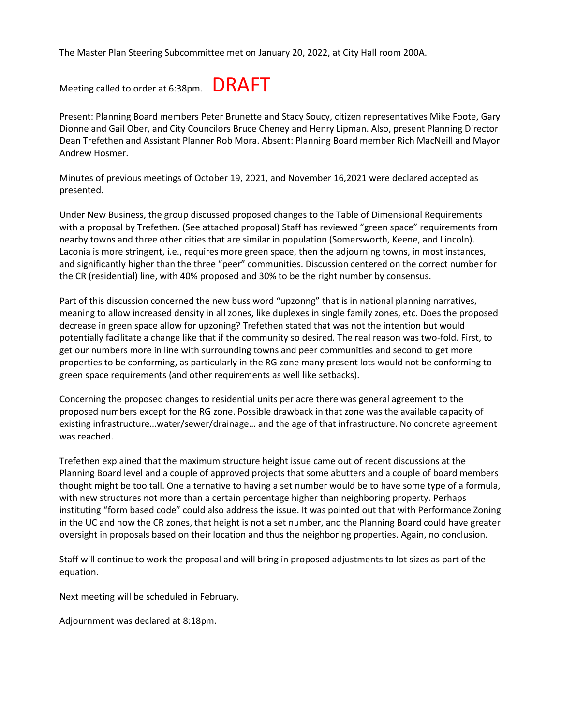The Master Plan Steering Subcommittee met on January 20, 2022, at City Hall room 200A.

Meeting called to order at 6:38pm. DRAFT

Present: Planning Board members Peter Brunette and Stacy Soucy, citizen representatives Mike Foote, Gary Dionne and Gail Ober, and City Councilors Bruce Cheney and Henry Lipman. Also, present Planning Director Dean Trefethen and Assistant Planner Rob Mora. Absent: Planning Board member Rich MacNeill and Mayor Andrew Hosmer.

Minutes of previous meetings of October 19, 2021, and November 16,2021 were declared accepted as presented.

Under New Business, the group discussed proposed changes to the Table of Dimensional Requirements with a proposal by Trefethen. (See attached proposal) Staff has reviewed "green space" requirements from nearby towns and three other cities that are similar in population (Somersworth, Keene, and Lincoln). Laconia is more stringent, i.e., requires more green space, then the adjourning towns, in most instances, and significantly higher than the three "peer" communities. Discussion centered on the correct number for the CR (residential) line, with 40% proposed and 30% to be the right number by consensus.

Part of this discussion concerned the new buss word "upzonng" that is in national planning narratives, meaning to allow increased density in all zones, like duplexes in single family zones, etc. Does the proposed decrease in green space allow for upzoning? Trefethen stated that was not the intention but would potentially facilitate a change like that if the community so desired. The real reason was two-fold. First, to get our numbers more in line with surrounding towns and peer communities and second to get more properties to be conforming, as particularly in the RG zone many present lots would not be conforming to green space requirements (and other requirements as well like setbacks).

Concerning the proposed changes to residential units per acre there was general agreement to the proposed numbers except for the RG zone. Possible drawback in that zone was the available capacity of existing infrastructure…water/sewer/drainage… and the age of that infrastructure. No concrete agreement was reached.

Trefethen explained that the maximum structure height issue came out of recent discussions at the Planning Board level and a couple of approved projects that some abutters and a couple of board members thought might be too tall. One alternative to having a set number would be to have some type of a formula, with new structures not more than a certain percentage higher than neighboring property. Perhaps instituting "form based code" could also address the issue. It was pointed out that with Performance Zoning in the UC and now the CR zones, that height is not a set number, and the Planning Board could have greater oversight in proposals based on their location and thus the neighboring properties. Again, no conclusion.

Staff will continue to work the proposal and will bring in proposed adjustments to lot sizes as part of the equation.

Next meeting will be scheduled in February.

Adjournment was declared at 8:18pm.